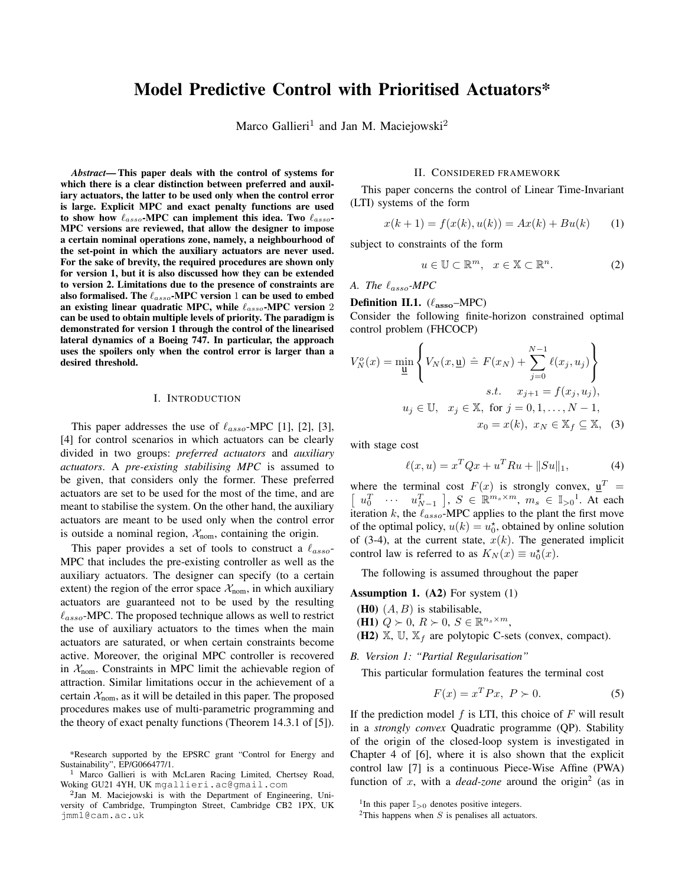# Model Predictive Control with Prioritised Actuators\*

Marco Gallieri<sup>1</sup> and Jan M. Maciejowski<sup>2</sup>

*Abstract*— This paper deals with the control of systems for which there is a clear distinction between preferred and auxiliary actuators, the latter to be used only when the control error is large. Explicit MPC and exact penalty functions are used to show how  $\ell_{assoc}$ -MPC can implement this idea. Two  $\ell_{assoc}$ -MPC versions are reviewed, that allow the designer to impose a certain nominal operations zone, namely, a neighbourhood of the set-point in which the auxiliary actuators are never used. For the sake of brevity, the required procedures are shown only for version 1, but it is also discussed how they can be extended to version 2. Limitations due to the presence of constraints are also formalised. The  $\ell_{assoc}$ -MPC version 1 can be used to embed an existing linear quadratic MPC, while  $\ell_{assoc}$ -MPC version 2 can be used to obtain multiple levels of priority. The paradigm is demonstrated for version 1 through the control of the linearised lateral dynamics of a Boeing 747. In particular, the approach uses the spoilers only when the control error is larger than a desired threshold.

## I. INTRODUCTION

This paper addresses the use of  $\ell_{assoc}$ -MPC [1], [2], [3], [4] for control scenarios in which actuators can be clearly divided in two groups: *preferred actuators* and *auxiliary actuators*. A *pre-existing stabilising MPC* is assumed to be given, that considers only the former. These preferred actuators are set to be used for the most of the time, and are meant to stabilise the system. On the other hand, the auxiliary actuators are meant to be used only when the control error is outside a nominal region,  $\mathcal{X}_{\text{nom}}$ , containing the origin.

This paper provides a set of tools to construct a  $\ell_{assoc}$ MPC that includes the pre-existing controller as well as the auxiliary actuators. The designer can specify (to a certain extent) the region of the error space  $\mathcal{X}_{nom}$ , in which auxiliary actuators are guaranteed not to be used by the resulting  $\ell_{assoc}$ -MPC. The proposed technique allows as well to restrict the use of auxiliary actuators to the times when the main actuators are saturated, or when certain constraints become active. Moreover, the original MPC controller is recovered in  $X_{\text{nom}}$ . Constraints in MPC limit the achievable region of attraction. Similar limitations occur in the achievement of a certain  $\mathcal{X}_{nom}$ , as it will be detailed in this paper. The proposed procedures makes use of multi-parametric programming and the theory of exact penalty functions (Theorem 14.3.1 of [5]).

#### II. CONSIDERED FRAMEWORK

This paper concerns the control of Linear Time-Invariant (LTI) systems of the form

$$
x(k+1) = f(x(k), u(k)) = Ax(k) + Bu(k)
$$
 (1)

subject to constraints of the form

$$
u \in \mathbb{U} \subset \mathbb{R}^m, \quad x \in \mathbb{X} \subset \mathbb{R}^n. \tag{2}
$$

*A. The*  $\ell_{assoc}$ *-MPC* 

**Definition II.1.**  $(\ell_{\text{assoc}} - \text{MPC})$ Consider the following finite-horizon constrained optimal control problem (FHCOCP)

$$
V_N^o(x) = \min_{\mathbf{u}} \left\{ V_N(x, \mathbf{u}) \triangleq F(x_N) + \sum_{j=0}^{N-1} \ell(x_j, u_j) \right\}
$$
  
s.t.  $x_{j+1} = f(x_j, u_j)$ ,  
 $u_j \in \mathbb{U}, \quad x_j \in \mathbb{X}, \text{ for } j = 0, 1, ..., N-1,$   
 $x_0 = x(k), \quad x_N \in \mathbb{X}_j \subseteq \mathbb{X}, \quad (3)$ 

with stage cost

$$
\ell(x, u) = x^T Q x + u^T R u + ||Su||_1,
$$
 (4)

where the terminal cost  $F(x)$  is strongly convex,  $\underline{u}^T =$  $\left[\begin{array}{ccc} u_0^T & \cdots & u_{N-1}^T \end{array}\right], S \in \mathbb{R}^{m_s \times m}, m_s \in \mathbb{I}_{>0}^1$ . At each iteration k, the  $\ell_{assoc}$ -MPC applies to the plant the first move of the optimal policy,  $u(k) = u_0^*$ , obtained by online solution of (3-4), at the current state,  $x(k)$ . The generated implicit control law is referred to as  $K_N(x) \equiv u_0^*(x)$ .

The following is assumed throughout the paper

Assumption 1. (A2) For system (1)

- (**H0**)  $(A, B)$  is stabilisable,
- (H1)  $Q \succ 0$ ,  $R \succ 0$ ,  $S \in \mathbb{R}^{n_s \times m}$ ,
- (H2)  $\mathbb{X}$ ,  $\mathbb{U}$ ,  $\mathbb{X}_f$  are polytopic C-sets (convex, compact).

*B. Version 1: "Partial Regularisation"*

This particular formulation features the terminal cost

$$
F(x) = x^T P x, \ P \succ 0. \tag{5}
$$

If the prediction model  $f$  is LTI, this choice of  $F$  will result in a *strongly convex* Quadratic programme (QP). Stability of the origin of the closed-loop system is investigated in Chapter 4 of [6], where it is also shown that the explicit control law [7] is a continuous Piece-Wise Affine (PWA) function of x, with a *dead-zone* around the origin<sup>2</sup> (as in

<sup>\*</sup>Research supported by the EPSRC grant "Control for Energy and Sustainability", EP/G066477/1.

<sup>1</sup> Marco Gallieri is with McLaren Racing Limited, Chertsey Road, Woking GU21 4YH, UK mgallieri.ac@gmail.com

<sup>&</sup>lt;sup>2</sup>Jan M. Maciejowski is with the Department of Engineering, University of Cambridge, Trumpington Street, Cambridge CB2 1PX, UK jmm1@cam.ac.uk

<sup>&</sup>lt;sup>1</sup>In this paper  $\mathbb{I}_{>0}$  denotes positive integers.

<sup>&</sup>lt;sup>2</sup>This happens when  $S$  is penalises all actuators.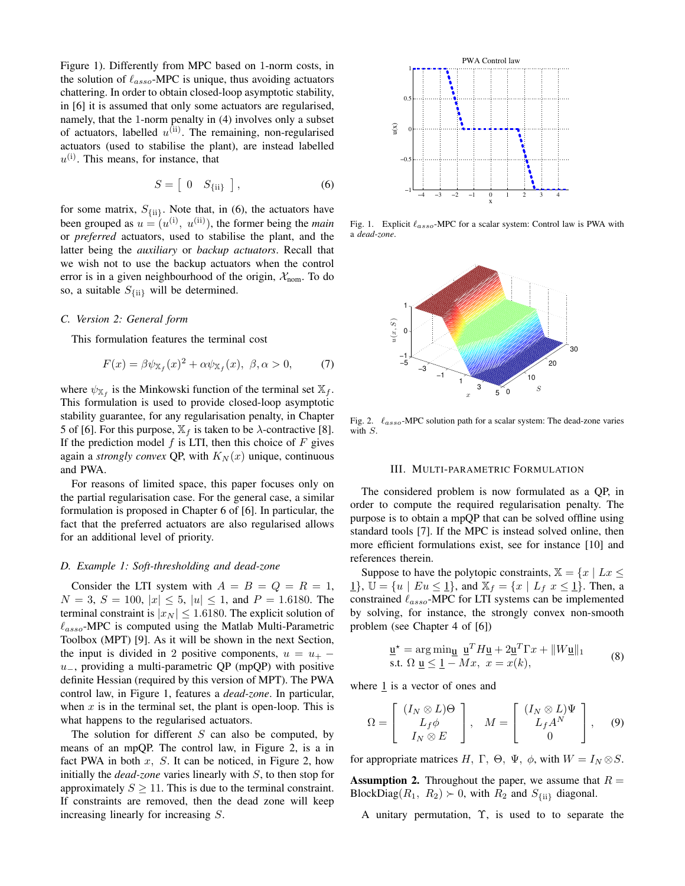Figure 1). Differently from MPC based on 1-norm costs, in the solution of  $\ell_{assoc}$ -MPC is unique, thus avoiding actuators chattering. In order to obtain closed-loop asymptotic stability, in [6] it is assumed that only some actuators are regularised, namely, that the 1-norm penalty in (4) involves only a subset of actuators, labelled  $u^{(ii)}$ . The remaining, non-regularised actuators (used to stabilise the plant), are instead labelled  $u^{(i)}$ . This means, for instance, that

$$
S = \left[ \begin{array}{cc} 0 & S_{\{ii\}} \end{array} \right],\tag{6}
$$

for some matrix,  $S_{\{\text{ii}\}}$ . Note that, in (6), the actuators have been grouped as  $u = (u^{(i)}, u^{(ii)})$ , the former being the *main* or *preferred* actuators, used to stabilise the plant, and the latter being the *auxiliary* or *backup actuators*. Recall that we wish not to use the backup actuators when the control error is in a given neighbourhood of the origin,  $\mathcal{X}_{nom}$ . To do so, a suitable  $S_{\{\text{ii}\}}$  will be determined.

## *C. Version 2: General form*

This formulation features the terminal cost

$$
F(x) = \beta \psi_{\mathbb{X}_f}(x)^2 + \alpha \psi_{\mathbb{X}_f}(x), \ \beta, \alpha > 0,\tag{7}
$$

where  $\psi_{\mathbb{X}_f}$  is the Minkowski function of the terminal set  $\mathbb{X}_f$ . This formulation is used to provide closed-loop asymptotic stability guarantee, for any regularisation penalty, in Chapter 5 of [6]. For this purpose,  $\mathbb{X}_f$  is taken to be  $\lambda$ -contractive [8]. If the prediction model  $f$  is LTI, then this choice of  $F$  gives again a *strongly convex* QP, with  $K_N(x)$  unique, continuous and PWA.

For reasons of limited space, this paper focuses only on the partial regularisation case. For the general case, a similar formulation is proposed in Chapter 6 of [6]. In particular, the fact that the preferred actuators are also regularised allows for an additional level of priority.

#### *D. Example 1: Soft-thresholding and dead-zone*

Consider the LTI system with  $A = B = Q = R = 1$ ,  $N = 3$ ,  $S = 100$ ,  $|x| \le 5$ ,  $|u| \le 1$ , and  $P = 1.6180$ . The terminal constraint is  $|x_N| \leq 1.6180$ . The explicit solution of  $\ell_{assoc}$ -MPC is computed using the Matlab Multi-Parametric Toolbox (MPT) [9]. As it will be shown in the next Section, the input is divided in 2 positive components,  $u = u_{+}$  –  $u_$ , providing a multi-parametric QP (mpQP) with positive definite Hessian (required by this version of MPT). The PWA control law, in Figure 1, features a *dead-zone*. In particular, when  $x$  is in the terminal set, the plant is open-loop. This is what happens to the regularised actuators.

The solution for different  $S$  can also be computed, by means of an mpQP. The control law, in Figure 2, is a in fact PWA in both  $x$ ,  $S$ . It can be noticed, in Figure 2, how initially the *dead-zone* varies linearly with S, to then stop for approximately  $S \geq 11$ . This is due to the terminal constraint. If constraints are removed, then the dead zone will keep increasing linearly for increasing S.



Fig. 1. Explicit  $\ell_{assoc}$ -MPC for a scalar system: Control law is PWA with a *dead-zone*.



Fig. 2.  $\ell_{assoc}$ -MPC solution path for a scalar system: The dead-zone varies with S.

#### III. MULTI-PARAMETRIC FORMULATION

The considered problem is now formulated as a QP, in order to compute the required regularisation penalty. The purpose is to obtain a mpQP that can be solved offline using standard tools [7]. If the MPC is instead solved online, then more efficient formulations exist, see for instance [10] and references therein.

Suppose to have the polytopic constraints,  $\mathbb{X} = \{x \mid Lx \leq \}$ 1,  $\mathbb{U} = \{u \mid Eu \leq 1\}$ , and  $\mathbb{X}_f = \{x \mid L_f \ x \leq 1\}$ . Then, a constrained  $\ell_{assoc}$ -MPC for LTI systems can be implemented by solving, for instance, the strongly convex non-smooth problem (see Chapter 4 of [6])

$$
\underline{\mathbf{u}}^* = \arg\min_{\underline{\mathbf{u}}} \underline{\mathbf{u}}^T H \underline{\mathbf{u}} + 2\underline{\mathbf{u}}^T \Gamma x + ||W \underline{\mathbf{u}}||_1
$$
  
s.t.  $\Omega \underline{\mathbf{u}} \leq 1 - Mx, \ x = x(k),$  (8)

where  $\frac{1}{1}$  is a vector of ones and

$$
\Omega = \begin{bmatrix} (I_N \otimes L)\Theta \\ L_f \phi \\ I_N \otimes E \end{bmatrix}, \quad M = \begin{bmatrix} (I_N \otimes L)\Psi \\ L_f A^N \\ 0 \end{bmatrix}, \quad (9)
$$

for appropriate matrices H, Γ, Θ, Ψ,  $\phi$ , with  $W = I_N \otimes S$ .

**Assumption 2.** Throughout the paper, we assume that  $R =$ BlockDiag( $R_1$ ,  $R_2$ )  $\succ$  0, with  $R_2$  and  $S_{\{\text{ii}\}}$  diagonal.

A unitary permutation, Υ, is used to to separate the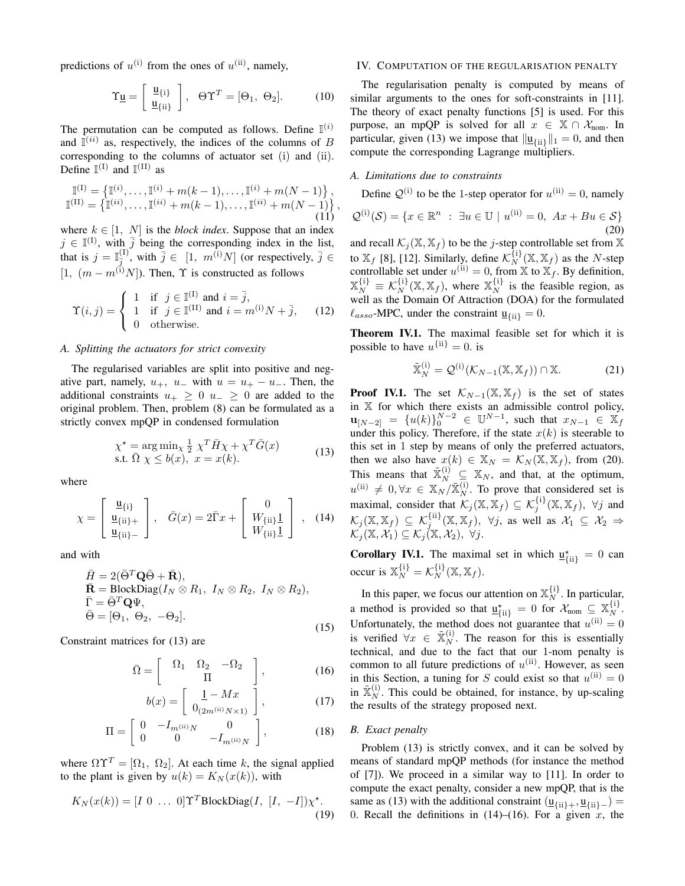predictions of  $u^{(i)}$  from the ones of  $u^{(ii)}$ , namely,

$$
\Upsilon_{\underline{u}} = \left[ \begin{array}{c} \underline{u}_{\{i\}} \\ \underline{u}_{\{ii\}} \end{array} \right], \quad \Theta \Upsilon^T = [\Theta_1, \ \Theta_2]. \tag{10}
$$

The permutation can be computed as follows. Define  $\mathbb{I}^{(i)}$ and  $\overline{\mathbb{I}}^{(ii)}$  as, respectively, the indices of the columns of B corresponding to the columns of actuator set (i) and (ii). Define  $\mathbb{I}^{(I)}$  and  $\mathbb{I}^{(II)}$  as

$$
\mathbb{I}^{(I)} = \left\{ \mathbb{I}^{(i)}, \dots, \mathbb{I}^{(i)} + m(k-1), \dots, \mathbb{I}^{(i)} + m(N-1) \right\}, \n\mathbb{I}^{(II)} = \left\{ \mathbb{I}^{(ii)}, \dots, \mathbb{I}^{(ii)} + m(k-1), \dots, \mathbb{I}^{(ii)} + m(N-1) \right\},
$$
\n(11)

where  $k \in [1, N]$  is the *block index*. Suppose that an index  $j \in \mathbb{I}^{(1)}$ , with  $\overline{j}$  being the corresponding index in the list, that is  $j = \mathbb{I}_{\bar{j}}^{(1)}$ , with  $\bar{j} \in [1, m^{(i)}N]$  (or respectively,  $\bar{j} \in$  $[1, (m - m^{(1)}N])$ . Then,  $\Upsilon$  is constructed as follows

$$
\Upsilon(i,j) = \begin{cases}\n1 & \text{if } j \in \mathbb{I}^{(1)} \text{ and } i = \overline{j}, \\
1 & \text{if } j \in \mathbb{I}^{(11)} \text{ and } i = m^{(1)}N + \overline{j}, \\
0 & \text{otherwise.} \n\end{cases}
$$
\n(12)

## *A. Splitting the actuators for strict convexity*

The regularised variables are split into positive and negative part, namely,  $u_+$ ,  $u_-$  with  $u = u_+ - u_-$ . Then, the additional constraints  $u_+ \geq 0$   $u_- \geq 0$  are added to the original problem. Then, problem (8) can be formulated as a strictly convex mpQP in condensed formulation

$$
\chi^* = \arg\min_{\chi} \frac{1}{2} \chi^T \bar{H} \chi + \chi^T \bar{G}(x)
$$
  
s.t.  $\bar{\Omega} \chi \leq b(x), \ x = x(k).$  (13)

where

$$
\chi = \begin{bmatrix} \underline{u}_{\{i\}} \\ \underline{u}_{\{ii\}+} \\ \underline{u}_{\{ii\}-} \end{bmatrix}, \quad \bar{G}(x) = 2\bar{\Gamma}x + \begin{bmatrix} 0 \\ W_{\{ii\}}\underline{1} \\ W_{\{ii\}}\underline{1} \end{bmatrix}, \quad (14)
$$

and with

$$
\bar{H} = 2(\bar{\Theta}^T \mathbf{Q} \bar{\Theta} + \bar{\mathbf{R}}),\n\bar{\mathbf{R}} = \text{BlockDiag}(I_N \otimes R_1, I_N \otimes R_2, I_N \otimes R_2),\n\bar{\Gamma} = \bar{\Theta}^T \mathbf{Q} \Psi,\n\bar{\Theta} = [\Theta_1, \Theta_2, -\Theta_2].
$$
\n(15)

Constraint matrices for (13) are

$$
\bar{\Omega} = \begin{bmatrix} \Omega_1 & \Omega_2 & -\Omega_2 \\ \Pi & \Pi \end{bmatrix}, \tag{16}
$$

$$
b(x) = \left[ \begin{array}{c} \frac{1 - Mx}{0_{(2m^{(\text{ii})}N \times 1)}} \end{array} \right],\tag{17}
$$

$$
\Pi = \begin{bmatrix} 0 & -I_{m^{(ii)}N} & 0 \\ 0 & 0 & -I_{m^{(ii)}N} \end{bmatrix},
$$
 (18)

where  $\Omega \Upsilon^{T} = [\Omega_1, \Omega_2]$ . At each time k, the signal applied to the plant is given by  $u(k) = K<sub>N</sub>(x(k))$ , with

$$
K_N(x(k)) = [I \ 0 \ \dots \ 0] \Upsilon^T \text{BlockDiag}(I, [I, -I]) \chi^*.
$$
\n(19)

## IV. COMPUTATION OF THE REGULARISATION PENALTY

The regularisation penalty is computed by means of similar arguments to the ones for soft-constraints in [11]. The theory of exact penalty functions [5] is used. For this purpose, an mpQP is solved for all  $x \in \mathbb{X} \cap \mathcal{X}_{\text{nom}}$ . In particular, given (13) we impose that  $\|\underline{\mathbf{u}}_{\{\text{ii}\}}\|_1 = 0$ , and then compute the corresponding Lagrange multipliers.

### *A. Limitations due to constraints*

Define  $\mathcal{Q}^{(i)}$  to be the 1-step operator for  $u^{(ii)} = 0$ , namely

$$
\mathcal{Q}^{(i)}(\mathcal{S}) = \{x \in \mathbb{R}^n : \exists u \in \mathbb{U} \mid u^{(ii)} = 0, Ax + Bu \in \mathcal{S}\}\
$$
\n(20)

and recall  $\mathcal{K}_j(\mathbb{X}, \mathbb{X}_f)$  to be the j-step controllable set from  $\mathbb X$ to  $\mathbb{X}_f$  [8], [12]. Similarly, define  $\mathcal{K}_N^{\{i\}}(\mathbb{X}, \mathbb{X}_f)$  as the N-step controllable set under  $u^{(ii)} = 0$ , from  $\mathbb{X}$  to  $\mathbb{X}_f$ . By definition,  $\mathbb{X}_N^{\{i\}} \equiv \mathcal{K}_N^{\{i\}}(\mathbb{X}, \mathbb{X}_f)$ , where  $\mathbb{X}_N^{\{i\}}$  is the feasible region, as well as the Domain Of Attraction (DOA) for the formulated  $\ell_{assoc}$ -MPC, under the constraint  $\underline{u}_{\{ii\}} = 0$ .

Theorem IV.1. The maximal feasible set for which it is possible to have  $u^{\{\text{ii}\}} = 0$ . is

$$
\tilde{\mathbb{X}}_N^{(i)} = \mathcal{Q}^{(i)}(\mathcal{K}_{N-1}(\mathbb{X}, \mathbb{X}_f)) \cap \mathbb{X}.
$$
 (21)

**Proof IV.1.** The set  $\mathcal{K}_{N-1}(\mathbb{X}, \mathbb{X}_f)$  is the set of states in X for which there exists an admissible control policy,  $\mathbf{u}_{[N-2]} = \{u(k)\}_0^{N-2} \in \mathbb{U}^{N-1}$ , such that  $x_{N-1} \in \mathbb{X}_f$ under this policy. Therefore, if the state  $x(k)$  is steerable to this set in 1 step by means of only the preferred actuators, then we also have  $x(k) \in \mathbb{X}_N = \mathcal{K}_N(\mathbb{X}, \mathbb{X}_f)$ , from (20). This means that  $\widetilde{\mathbb{X}}_N^{(i)} \subseteq \mathbb{X}_N$ , and that, at the optimum,  $u^{(ii)} \neq 0, \forall x \in \mathbb{X}_N/\tilde{\mathbb{X}}_N^{(i)}$ . To prove that considered set is maximal, consider that  $\mathcal{K}_j(\mathbb{X}, \mathbb{X}_f) \subseteq \mathcal{K}_j^{\{i\}}(\mathbb{X}, \mathbb{X}_f)$ ,  $\forall j$  and  $\mathcal{K}_j(\mathbb{X}, \mathbb{X}_f) \subseteq \mathcal{K}_j^{\{\text{ii}\}}(\mathbb{X}, \mathbb{X}_f), \ \forall j, \text{ as well as } \mathcal{X}_1 \subseteq \mathcal{X}_2 \Rightarrow$  $\mathcal{K}_j(\mathbb{X},\mathcal{X}_1)\subseteq \mathcal{K}_j(\mathbb{X},\mathcal{X}_2),\ \forall j.$ 

**Corollary IV.1.** The maximal set in which  $\underline{u}_{\{ii\}}^{\star} = 0$  can occur is  $\mathbb{X}_N^{\{i\}} = \mathcal{K}_N^{\{i\}}(\mathbb{X}, \mathbb{X}_f)$ .

In this paper, we focus our attention on  $\mathbb{X}_N^{\{i\}}$ . In particular, a method is provided so that  $\underline{u}_{\{ii\}}^{\star} = 0$  for  $\mathcal{X}_{\text{nom}} \subseteq \mathbb{X}_N^{\{i\}}$ . Unfortunately, the method does not guarantee that  $u^{(ii)} = 0$ is verified  $\forall x \in \tilde{\mathbb{X}}_N^{(i)}$ . The reason for this is essentially technical, and due to the fact that our 1-nom penalty is common to all future predictions of  $u^{(ii)}$ . However, as seen in this Section, a tuning for S could exist so that  $u^{(ii)} = 0$ in  $\tilde{\mathbb{X}}_N^{(i)}$ . This could be obtained, for instance, by up-scaling the results of the strategy proposed next.

#### *B. Exact penalty*

Problem (13) is strictly convex, and it can be solved by means of standard mpQP methods (for instance the method of [7]). We proceed in a similar way to [11]. In order to compute the exact penalty, consider a new mpQP, that is the same as (13) with the additional constraint  $(\underline{u}_{\{i\}\downarrow}, \underline{u}_{\{i\}\downarrow})$  = 0. Recall the definitions in  $(14)–(16)$ . For a given x, the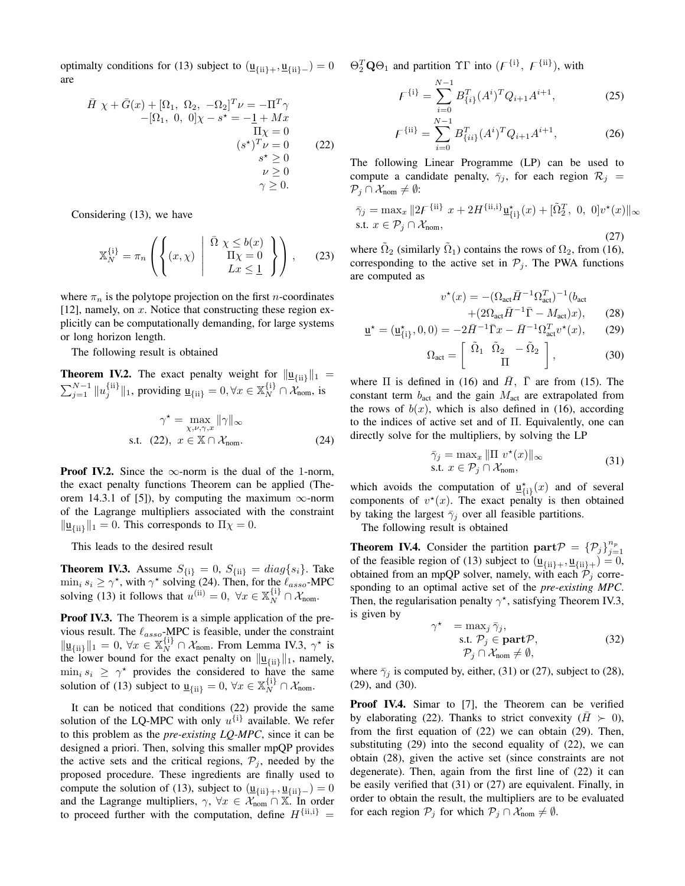optimalty conditions for (13) subject to  $(\underline{u}_{\{ii\}+}, \underline{u}_{\{ii\}-}) = 0$ are

$$
\overline{H} \chi + \overline{G}(x) + [\Omega_1, \Omega_2, -\Omega_2]^T \nu = -\Pi^T \gamma
$$
  
\n
$$
-[\Omega_1, 0, 0] \chi - s^* = -\underline{1} + Mx
$$
  
\n
$$
\Pi \chi = 0
$$
  
\n
$$
(s^*)^T \nu = 0
$$
  
\n
$$
s^* \ge 0
$$
  
\n
$$
\nu \ge 0
$$
  
\n
$$
\gamma \ge 0.
$$

Considering (13), we have

$$
\mathbb{X}_N^{\{i\}} = \pi_n \left( \left\{ (x, \chi) \middle| \begin{array}{c} \bar{\Omega} \ \chi \leq b(x) \\ \Pi \chi = 0 \\ Lx \leq 1 \end{array} \right\} \right), \qquad (23)
$$

where  $\pi_n$  is the polytope projection on the first *n*-coordinates [12], namely, on  $x$ . Notice that constructing these region explicitly can be computationally demanding, for large systems or long horizon length.

The following result is obtained

**Theorem IV.2.** The exact penalty weight for  $\|\mathbf{u}_{\{ii\}}\|_1 =$  $\sum_{j=1}^{N-1} ||u_j^{\{ii\}}||_1$ , providing  $\underline{u}_{\{ii\}} = 0, \forall x \in \mathbb{X}_N^{\{i\}} \cap \mathcal{X}_{\text{nom}}$ , is

$$
\gamma^* = \max_{\chi, \nu, \gamma, x} \|\gamma\|_{\infty}
$$
  
s.t. (22),  $x \in \mathbb{X} \cap \mathcal{X}_{\text{nom}}$ . (24)

**Proof IV.2.** Since the  $\infty$ -norm is the dual of the 1-norm, the exact penalty functions Theorem can be applied (Theorem 14.3.1 of [5]), by computing the maximum  $\infty$ -norm of the Lagrange multipliers associated with the constraint  $\|\underline{\mathbf{u}}_{\{\mathbf{i}\}}\|_1 = 0$ . This corresponds to  $\Pi \chi = 0$ .

This leads to the desired result

**Theorem IV.3.** Assume  $S_{\{i\}} = 0$ ,  $S_{\{ii\}} = diag\{s_i\}$ . Take  $\min_i s_i \ge \gamma^*$ , with  $\gamma^*$  solving (24). Then, for the  $\ell_{assoc}$ -MPC solving (13) it follows that  $u^{(ii)} = 0$ ,  $\forall x \in \mathbb{X}_N^{\{i\}} \cap \mathcal{X}_{nom}$ .

Proof IV.3. The Theorem is a simple application of the previous result. The  $\ell_{assoc}$ -MPC is feasible, under the constraint  $\|\underline{\mathbf{u}}_{\{\text{ii}\}}\|_1 = 0, \forall x \in \mathbb{X}_N^{\{\text{i}\}} \cap \mathcal{X}_{\text{nom}}.$  From Lemma IV.3,  $\gamma^*$  is the lower bound for the exact penalty on  $\|\underline{\mathbf{u}}_{\{\text{ii}\}}\|_1$ , namely,  $\min_i s_i \geq \gamma^*$  provides the considered to have the same solution of (13) subject to  $\underline{u}_{\{ii\}} = 0$ ,  $\forall x \in \mathbb{X}_N^{\{i\}} \cap \mathcal{X}_{\text{nom}}$ .

It can be noticed that conditions (22) provide the same solution of the LQ-MPC with only  $u^{\{i\}}$  available. We refer to this problem as the *pre-existing LQ-MPC*, since it can be designed a priori. Then, solving this smaller mpQP provides the active sets and the critical regions,  $P_j$ , needed by the proposed procedure. These ingredients are finally used to compute the solution of (13), subject to  $(\underline{u}_{\{ii\}+}, \underline{u}_{\{ii\}-}) = 0$ and the Lagrange multipliers,  $\gamma$ ,  $\forall x \in \mathcal{X}_{\text{nom}} \cap \mathbb{X}$ . In order to proceed further with the computation, define  $H^{\{\mathrm{ii},\mathrm{i}\}} =$ 

 $\Theta_2^T \mathbf{Q} \Theta_1$  and partition  $\Upsilon \Gamma$  into  $(F^{\{i\}}, F^{\{ii\}})$ , with

$$
F^{\{i\}} = \sum_{i=0}^{N-1} B_{\{i\}}^T (A^i)^T Q_{i+1} A^{i+1},
$$
 (25)

$$
F^{\{\text{ii}\}} = \sum_{i=0}^{N-1} B_{\{ii\}}^T (A^i)^T Q_{i+1} A^{i+1}, \tag{26}
$$

The following Linear Programme (LP) can be used to compute a candidate penalty,  $\bar{\gamma}_j$ , for each region  $\mathcal{R}_j$  =  $\mathcal{P}_j \cap \mathcal{X}_{\text{nom}} \neq \emptyset$ :

$$
\bar{\gamma}_j = \max_x \|2F^{\{\text{ii}\}}\ x + 2H^{\{\text{ii},\{\text{i}\}}\underline{\mathbf{u}}^*_{\{\text{i}\}}(x) + [\tilde{\Omega}_2^T, \ 0, \ 0]v^*(x)\|_{\infty}
$$
\ns.t.

\n
$$
x \in \mathcal{P}_j \cap \mathcal{X}_{\text{nom}},
$$
\n(27)

where  $\tilde{\Omega}_2$  (similarly  $\tilde{\Omega}_1$ ) contains the rows of  $\Omega_2$ , from (16), corresponding to the active set in  $P_j$ . The PWA functions are computed as

$$
v^*(x) = -(\Omega_{\text{act}} \bar{H}^{-1} \Omega_{\text{act}}^T)^{-1} (b_{\text{act}} + (2\Omega_{\text{act}} \bar{H}^{-1} \bar{\Gamma} - M_{\text{act}})x), \qquad (28)
$$

$$
\underline{\mathbf{u}}^{\star} = (\underline{\mathbf{u}}_{\{i\}}^{\star}, 0, 0) = -2\bar{H}^{-1}\bar{\Gamma}x - \bar{H}^{-1}\Omega_{\text{act}}^T v^{\star}(x), \qquad (29)
$$

$$
\Omega_{\text{act}} = \left[ \begin{array}{cc} \tilde{\Omega}_1 & \tilde{\Omega}_2 & -\tilde{\Omega}_2 \\ \Pi & \Pi \end{array} \right],\tag{30}
$$

where  $\Pi$  is defined in (16) and  $\bar{H}$ ,  $\bar{\Gamma}$  are from (15). The constant term  $b_{\text{act}}$  and the gain  $M_{\text{act}}$  are extrapolated from the rows of  $b(x)$ , which is also defined in (16), according to the indices of active set and of  $\Pi$ . Equivalently, one can directly solve for the multipliers, by solving the LP

$$
\bar{\gamma}_j = \max_x \|\Pi v^\star(x)\|_\infty
$$
  
s.t.  $x \in \mathcal{P}_j \cap \mathcal{X}_{\text{nom}},$  (31)

which avoids the computation of  $\underline{u}_{\{i\}}^{\star}(x)$  and of several components of  $v^*(x)$ . The exact penalty is then obtained by taking the largest  $\bar{\gamma}_j$  over all feasible partitions.

The following result is obtained

**Theorem IV.4.** Consider the partition  $\textbf{part}\mathcal{P} = {\{\mathcal{P}_j\}}_{j=1}^{n_p}$ of the feasible region of (13) subject to  $(\underline{u}_{\{ii\}+}, \underline{u}_{\{ii\}+}) = 0$ , obtained from an mpQP solver, namely, with each  $\mathcal{P}_j$  corresponding to an optimal active set of the *pre-existing MPC*. Then, the regularisation penalty  $\gamma^*$ , satisfying Theorem IV.3, is given by

$$
\gamma^* = \max_j \bar{\gamma}_j, \text{s.t. } \mathcal{P}_j \in \textbf{part}\mathcal{P}, \mathcal{P}_j \cap \mathcal{X}_{\text{nom}} \neq \emptyset,
$$
\n(32)

where  $\bar{\gamma}_i$  is computed by, either, (31) or (27), subject to (28), (29), and (30).

Proof IV.4. Simar to [7], the Theorem can be verified by elaborating (22). Thanks to strict convexity ( $H > 0$ ), from the first equation of (22) we can obtain (29). Then, substituting (29) into the second equality of (22), we can obtain (28), given the active set (since constraints are not degenerate). Then, again from the first line of (22) it can be easily verified that (31) or (27) are equivalent. Finally, in order to obtain the result, the multipliers are to be evaluated for each region  $P_j$  for which  $P_j \cap \mathcal{X}_{nom} \neq \emptyset$ .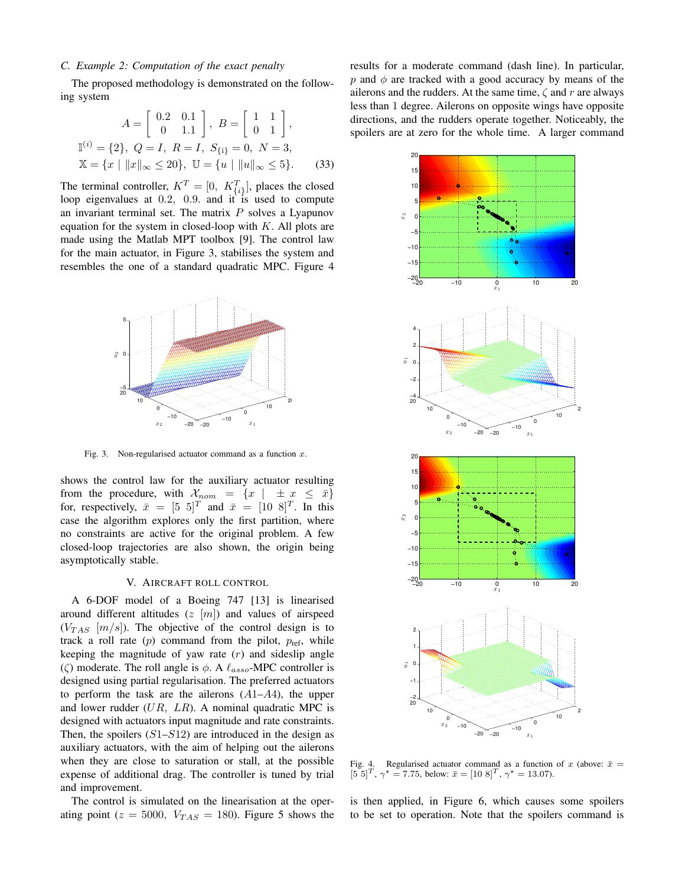## *C. Example 2: Computation of the exact penalty*

The proposed methodology is demonstrated on the following system

$$
A = \begin{bmatrix} 0.2 & 0.1 \\ 0 & 1.1 \end{bmatrix}, B = \begin{bmatrix} 1 & 1 \\ 0 & 1 \end{bmatrix},
$$
  

$$
\mathbb{I}^{(i)} = \{2\}, Q = I, R = I, S_{\{i\}} = 0, N = 3,
$$
  

$$
\mathbb{X} = \{x \mid ||x||_{\infty} \le 20\}, \mathbb{U} = \{u \mid ||u||_{\infty} \le 5\}.
$$
 (33)

The terminal controller,  $K^T = [0, K_{\{i\}}^T]$ , places the closed loop eigenvalues at 0.2, 0.9. and it is used to compute an invariant terminal set. The matrix  $P$  solves a Lyapunov equation for the system in closed-loop with  $K$ . All plots are made using the Matlab MPT toolbox [9]. The control law for the main actuator, in Figure 3, stabilises the system and resembles the one of a standard quadratic MPC. Figure 4



Fig. 3. Non-regularised actuator command as a function  $x$ .

shows the control law for the auxiliary actuator resulting from the procedure, with  $\mathcal{X}_{nom} = \{x \mid \pm x \leq \bar{x}\}\$ for, respectively,  $\bar{x} = \begin{bmatrix} 5 \\ 5 \end{bmatrix}^T$  and  $\bar{x} = \begin{bmatrix} 10 \\ 8 \end{bmatrix}^T$ . In this case the algorithm explores only the first partition, where no constraints are active for the original problem. A few closed-loop trajectories are also shown, the origin being asymptotically stable.

## V. AIRCRAFT ROLL CONTROL

A 6-DOF model of a Boeing 747 [13] is linearised around different altitudes  $(z |m|)$  and values of airspeed  $(V_{TAS}$  [m/s]). The objective of the control design is to track a roll rate  $(p)$  command from the pilot,  $p_{ref}$ , while keeping the magnitude of yaw rate  $(r)$  and sideslip angle ( $\zeta$ ) moderate. The roll angle is  $\phi$ . A  $\ell_{assoc}$ -MPC controller is designed using partial regularisation. The preferred actuators to perform the task are the ailerons  $(A1-A4)$ , the upper and lower rudder  $(UR, LR)$ . A nominal quadratic MPC is designed with actuators input magnitude and rate constraints. Then, the spoilers  $(S1–S12)$  are introduced in the design as auxiliary actuators, with the aim of helping out the ailerons when they are close to saturation or stall, at the possible expense of additional drag. The controller is tuned by trial and improvement.

The control is simulated on the linearisation at the operating point ( $z = 5000$ ,  $V_{TAS} = 180$ ). Figure 5 shows the results for a moderate command (dash line). In particular, p and  $\phi$  are tracked with a good accuracy by means of the ailerons and the rudders. At the same time,  $\zeta$  and r are always less than 1 degree. Ailerons on opposite wings have opposite directions, and the rudders operate together. Noticeably, the spoilers are at zero for the whole time. A larger command



Fig. 4. Regularised actuator command as a function of x (above:  $\bar{x}$  =  $[5\ 5]^T$ ,  $\gamma^* = 7.75$ , below:  $\bar{x} = [10\ 8]^T$ ,  $\gamma^* = 13.07$ ).

is then applied, in Figure 6, which causes some spoilers to be set to operation. Note that the spoilers command is